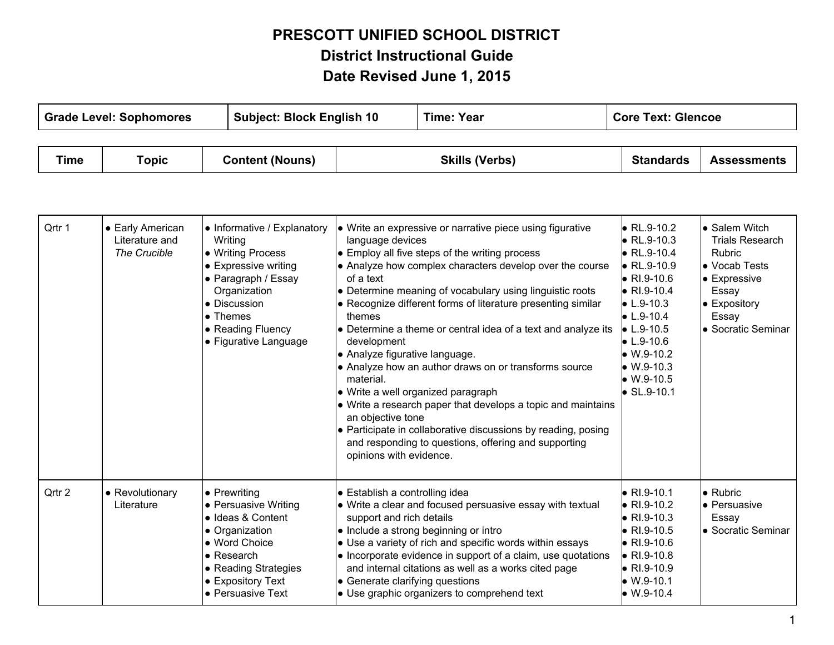## **PRESCOTT UNIFIED SCHOOL DISTRICT District Instructional Guide Date Revised June 1, 2015**

T

┱

**T** 

| <b>Grade Level: Sophomores</b> |                                                    |                                                                                                                                                                                                              | <b>Time: Year</b><br><b>Subject: Block English 10</b>                                                               |                                                                                                                                                                                                                                                                                                                                                                                                                                                                                                                                                                                                                                                                                                | <b>Core Text: Glencoe</b>                                                                                                                                                                                                                                                                               |                                                                                                                                                         |
|--------------------------------|----------------------------------------------------|--------------------------------------------------------------------------------------------------------------------------------------------------------------------------------------------------------------|---------------------------------------------------------------------------------------------------------------------|------------------------------------------------------------------------------------------------------------------------------------------------------------------------------------------------------------------------------------------------------------------------------------------------------------------------------------------------------------------------------------------------------------------------------------------------------------------------------------------------------------------------------------------------------------------------------------------------------------------------------------------------------------------------------------------------|---------------------------------------------------------------------------------------------------------------------------------------------------------------------------------------------------------------------------------------------------------------------------------------------------------|---------------------------------------------------------------------------------------------------------------------------------------------------------|
| <b>Time</b>                    | <b>Topic</b>                                       | <b>Content (Nouns)</b>                                                                                                                                                                                       |                                                                                                                     | <b>Skills (Verbs)</b>                                                                                                                                                                                                                                                                                                                                                                                                                                                                                                                                                                                                                                                                          | <b>Standards</b>                                                                                                                                                                                                                                                                                        | <b>Assessments</b>                                                                                                                                      |
| Qrtr 1                         | • Early American<br>Literature and<br>The Crucible | • Informative / Explanatory<br>Writing<br>• Writing Process<br>• Expressive writing<br>• Paragraph / Essay<br>Organization<br>• Discussion<br>$\bullet$ Themes<br>• Reading Fluency<br>• Figurative Language | language devices<br>of a text<br>themes<br>development<br>material.<br>an objective tone<br>opinions with evidence. | • Write an expressive or narrative piece using figurative<br>• Employ all five steps of the writing process<br>• Analyze how complex characters develop over the course<br>• Determine meaning of vocabulary using linguistic roots<br>• Recognize different forms of literature presenting similar<br>• Determine a theme or central idea of a text and analyze its<br>• Analyze figurative language.<br>• Analyze how an author draws on or transforms source<br>• Write a well organized paragraph<br>• Write a research paper that develops a topic and maintains<br>• Participate in collaborative discussions by reading, posing<br>and responding to questions, offering and supporting | $\bullet$ RL.9-10.2<br>$\bullet$ RL.9-10.3<br>$\bullet$ RL.9-10.4<br>$\bullet$ RL.9-10.9<br>$\bullet$ RI.9-10.6<br>$\bullet$ RI.9-10.4<br>$\bullet$ L.9-10.3<br>$\bullet$ L.9-10.4<br>$\bullet$ L.9-10.5<br>$\bullet$ L.9-10.6<br>$\bullet$ W.9-10.2<br>$W.9-10.3$<br>$W.9-10.5$<br>$\bullet$ SL.9-10.1 | • Salem Witch<br><b>Trials Research</b><br>Rubric<br>• Vocab Tests<br>$\bullet$ Expressive<br>Essay<br><b>Expository</b><br>Essay<br>● Socratic Seminar |
| Qrtr 2                         | • Revolutionary<br>Literature                      | $\bullet$ Prewriting<br>• Persuasive Writing<br>· Ideas & Content<br>• Organization<br>• Word Choice<br>• Research<br>• Reading Strategies<br>• Expository Text<br>• Persuasive Text                         | support and rich details                                                                                            | • Establish a controlling idea<br>• Write a clear and focused persuasive essay with textual<br>• Include a strong beginning or intro<br>• Use a variety of rich and specific words within essays<br>• Incorporate evidence in support of a claim, use quotations<br>and internal citations as well as a works cited page<br>• Generate clarifying questions<br>• Use graphic organizers to comprehend text                                                                                                                                                                                                                                                                                     | $\bullet$ RI.9-10.1<br>$\bullet$ RI.9-10.2<br>$\bullet$ RI.9-10.3<br>$\bullet$ RI.9-10.5<br>$\bullet$ RI.9-10.6<br>$\bullet$ RI.9-10.8<br>$\bullet$ RI.9-10.9<br>$W.9-10.1$<br>$W.9-10.4$                                                                                                               | • Rubric<br><b>•</b> Persuasive<br>Essay<br>● Socratic Seminar                                                                                          |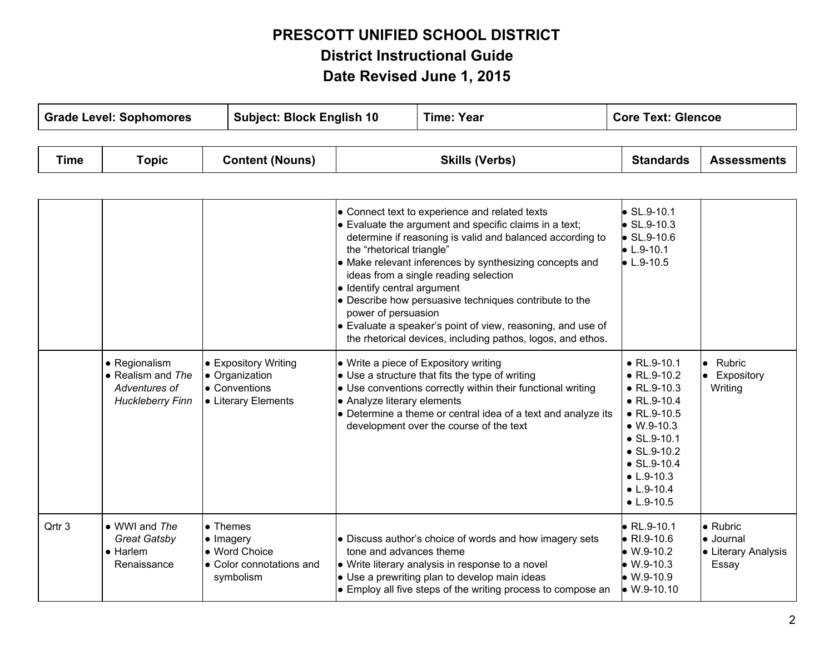## **PRESCOTT UNIFIED SCHOOL DISTRICT District Instructional Guide Date Revised June 1, 2015**

| <b>Grade Level: Sophomores</b> |       |                        | <b>Subject: Block English 10</b> |                       | <b>Time: Year</b> |                  | <b>Core Text: Glencoe</b> |  |
|--------------------------------|-------|------------------------|----------------------------------|-----------------------|-------------------|------------------|---------------------------|--|
|                                |       |                        |                                  |                       |                   |                  |                           |  |
| <b>Time</b>                    | Topic | <b>Content (Nouns)</b> |                                  | <b>Skills (Verbs)</b> |                   | <b>Standards</b> | <b>Assessments</b>        |  |

|        |                                                                                        |                                                                                         | • Connect text to experience and related texts<br>• Evaluate the argument and specific claims in a text;<br>determine if reasoning is valid and balanced according to<br>the "rhetorical triangle"<br>• Make relevant inferences by synthesizing concepts and<br>ideas from a single reading selection<br>• Identify central argument<br>• Describe how persuasive techniques contribute to the<br>power of persuasion<br>• Evaluate a speaker's point of view, reasoning, and use of<br>the rhetorical devices, including pathos, logos, and ethos. | $\bullet$ SL.9-10.1<br>$\bullet$ SL.9-10.3<br>$\bullet$ SL.9-10.6<br>$\bullet$ L.9-10.1<br>$\bullet$ L.9-10.5                                                                                                                                                                |                                                               |
|--------|----------------------------------------------------------------------------------------|-----------------------------------------------------------------------------------------|------------------------------------------------------------------------------------------------------------------------------------------------------------------------------------------------------------------------------------------------------------------------------------------------------------------------------------------------------------------------------------------------------------------------------------------------------------------------------------------------------------------------------------------------------|------------------------------------------------------------------------------------------------------------------------------------------------------------------------------------------------------------------------------------------------------------------------------|---------------------------------------------------------------|
|        | • Regionalism<br>$\bullet$ Realism and The<br>Adventures of<br><b>Huckleberry Finn</b> | • Expository Writing<br>• Organization<br>• Conventions<br>• Literary Elements          | • Write a piece of Expository writing<br>• Use a structure that fits the type of writing<br>• Use conventions correctly within their functional writing<br>• Analyze literary elements<br>• Determine a theme or central idea of a text and analyze its<br>development over the course of the text                                                                                                                                                                                                                                                   | $\bullet$ RL.9-10.1<br>$\bullet$ RL.9-10.2<br>$\bullet$ RL.9-10.3<br>$\bullet$ RL.9-10.4<br>$\bullet$ RL.9-10.5<br>$\bullet$ W.9-10.3<br>$\bullet$ SL.9-10.1<br>$\bullet$ SL.9-10.2<br>$\bullet$ SL.9-10.4<br>$\bullet$ L.9-10.3<br>$\bullet$ L.9-10.4<br>$\bullet$ L.9-10.5 | • Rubric<br>• Expository<br>Writing                           |
| Qrtr 3 | • WWI and The<br><b>Great Gatsby</b><br>$\bullet$ Harlem<br>Renaissance                | • Themes<br>$\bullet$ Imagery<br>• Word Choice<br>• Color connotations and<br>symbolism | • Discuss author's choice of words and how imagery sets<br>tone and advances theme<br>• Write literary analysis in response to a novel<br>• Use a prewriting plan to develop main ideas<br>• Employ all five steps of the writing process to compose an                                                                                                                                                                                                                                                                                              | $\bullet$ RL.9-10.1<br>$\bullet$ RI.9-10.6<br>$\bullet$ W.9-10.2<br>$\bullet$ W.9-10.3<br>$W.9-10.9$<br>$W.9-10.10$                                                                                                                                                          | $\bullet$ Rubric<br>• Journal<br>• Literary Analysis<br>Essay |